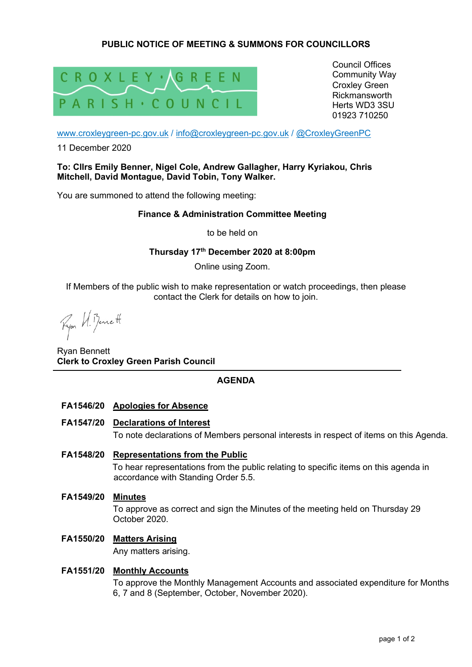# **PUBLIC NOTICE OF MEETING & SUMMONS FOR COUNCILLORS**



Council Offices Community Way Croxley Green Rickmansworth Herts WD3 3SU 01923 710250

www.croxleygreen-pc.gov.uk / info@croxleygreen-pc.gov.uk / @CroxleyGreenPC

11 December 2020

### **To: Cllrs Emily Benner, Nigel Cole, Andrew Gallagher, Harry Kyriakou, Chris Mitchell, David Montague, David Tobin, Tony Walker.**

You are summoned to attend the following meeting:

### **Finance & Administration Committee Meeting**

to be held on

## **Thursday 17th December 2020 at 8:00pm**

Online using Zoom.

If Members of the public wish to make representation or watch proceedings, then please contact the Clerk for details on how to join.

Ryon VI. Bennett

Ryan Bennett **Clerk to Croxley Green Parish Council** 

## **AGENDA**

## **FA1546/20 Apologies for Absence**

**FA1547/20 Declarations of Interest** 

To note declarations of Members personal interests in respect of items on this Agenda.

## **FA1548/20 Representations from the Public**

To hear representations from the public relating to specific items on this agenda in accordance with Standing Order 5.5.

**FA1549/20 Minutes** 

To approve as correct and sign the Minutes of the meeting held on Thursday 29 October 2020.

# **FA1550/20 Matters Arising**

Any matters arising.

### **FA1551/20 Monthly Accounts**

To approve the Monthly Management Accounts and associated expenditure for Months 6, 7 and 8 (September, October, November 2020).